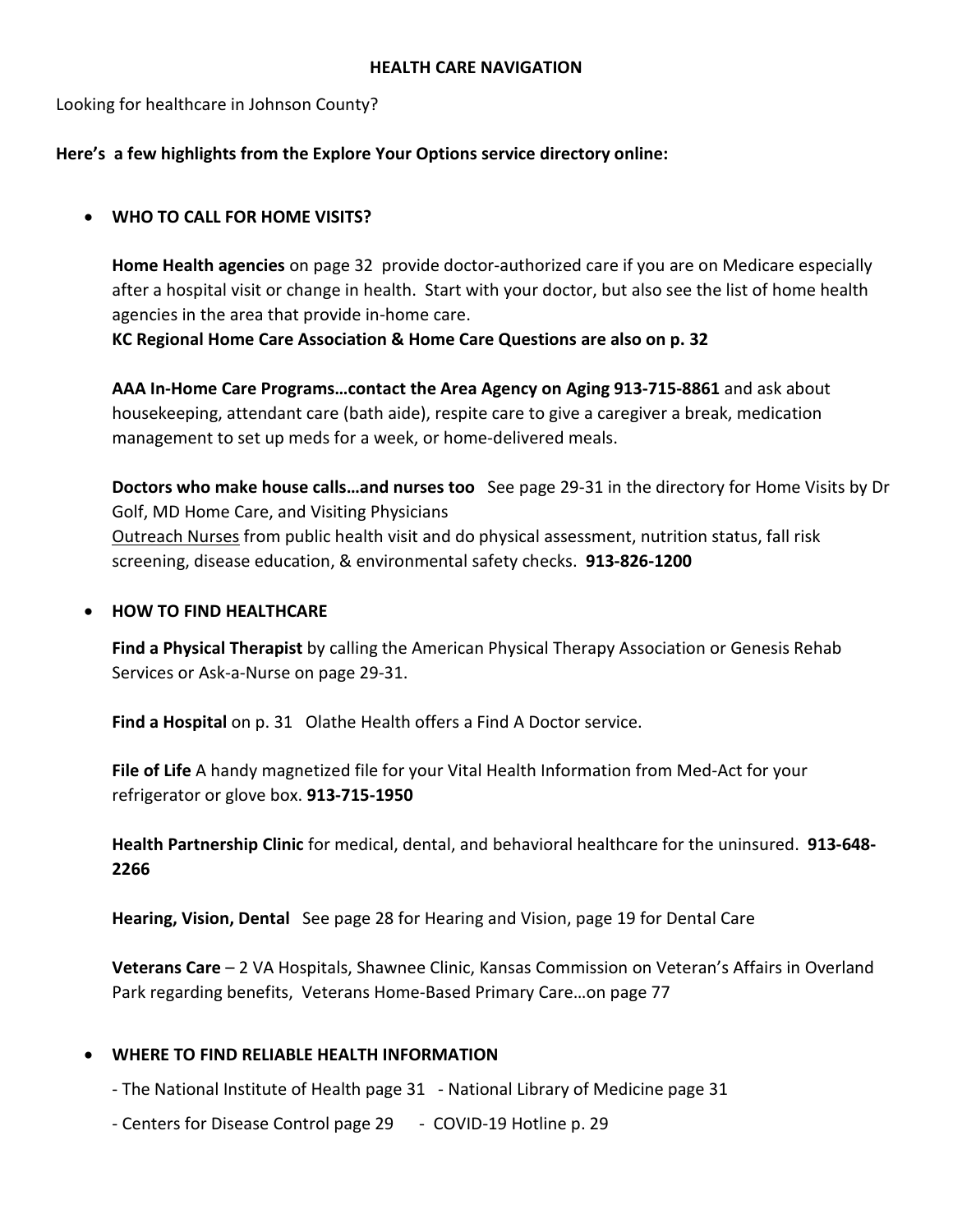#### **HEALTH CARE NAVIGATION**

Looking for healthcare in Johnson County?

## **Here's a few highlights from the Explore Your Options service directory online:**

## • **WHO TO CALL FOR HOME VISITS?**

**Home Health agencies** on page 32 provide doctor-authorized care if you are on Medicare especially after a hospital visit or change in health. Start with your doctor, but also see the list of home health agencies in the area that provide in-home care.

**KC Regional Home Care Association & Home Care Questions are also on p. 32**

**AAA In-Home Care Programs…contact the Area Agency on Aging 913-715-8861** and ask about housekeeping, attendant care (bath aide), respite care to give a caregiver a break, medication management to set up meds for a week, or home-delivered meals.

**Doctors who make house calls…and nurses too** See page 29-31 in the directory for Home Visits by Dr Golf, MD Home Care, and Visiting Physicians Outreach Nurses from public health visit and do physical assessment, nutrition status, fall risk screening, disease education, & environmental safety checks. **913-826-1200**

### • **HOW TO FIND HEALTHCARE**

**Find a Physical Therapist** by calling the American Physical Therapy Association or Genesis Rehab Services or Ask-a-Nurse on page 29-31.

**Find a Hospital** on p. 31 Olathe Health offers a Find A Doctor service.

**File of Life** A handy magnetized file for your Vital Health Information from Med-Act for your refrigerator or glove box. **913-715-1950**

**Health Partnership Clinic** for medical, dental, and behavioral healthcare for the uninsured. **913-648- 2266**

**Hearing, Vision, Dental** See page 28 for Hearing and Vision, page 19 for Dental Care

**Veterans Care** – 2 VA Hospitals, Shawnee Clinic, Kansas Commission on Veteran's Affairs in Overland Park regarding benefits, Veterans Home-Based Primary Care…on page 77

#### • **WHERE TO FIND RELIABLE HEALTH INFORMATION**

- The National Institute of Health page 31 National Library of Medicine page 31
- Centers for Disease Control page 29 COVID-19 Hotline p. 29